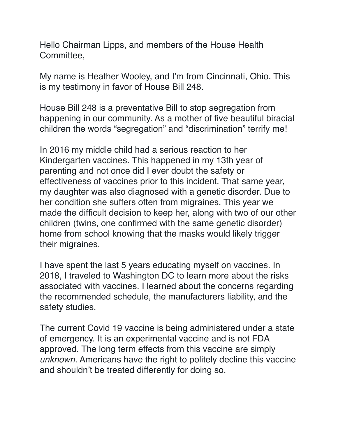Hello Chairman Lipps, and members of the House Health Committee,

My name is Heather Wooley, and I'm from Cincinnati, Ohio. This is my testimony in favor of House Bill 248.

House Bill 248 is a preventative Bill to stop segregation from happening in our community. As a mother of five beautiful biracial children the words "segregation" and "discrimination" terrify me!

In 2016 my middle child had a serious reaction to her Kindergarten vaccines. This happened in my 13th year of parenting and not once did I ever doubt the safety or effectiveness of vaccines prior to this incident. That same year, my daughter was also diagnosed with a genetic disorder. Due to her condition she suffers often from migraines. This year we made the difficult decision to keep her, along with two of our other children (twins, one confirmed with the same genetic disorder) home from school knowing that the masks would likely trigger their migraines.

I have spent the last 5 years educating myself on vaccines. In 2018, I traveled to Washington DC to learn more about the risks associated with vaccines. I learned about the concerns regarding the recommended schedule, the manufacturers liability, and the safety studies.

The current Covid 19 vaccine is being administered under a state of emergency. It is an experimental vaccine and is not FDA approved. The long term effects from this vaccine are simply *unknown*. Americans have the right to politely decline this vaccine and shouldn't be treated differently for doing so.